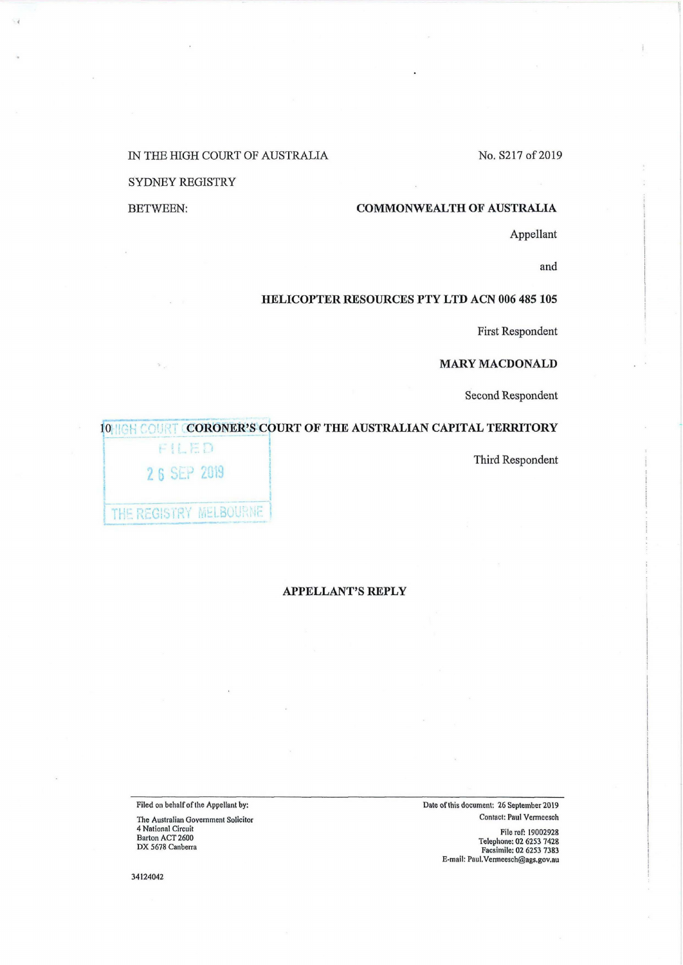### No. S217 of 2019

#### IN THE HIGH COURT OF AUSTRALIA

## SYDNEY REGISTRY

BETWEEN:

# **COMMONWEALTH OF AUSTRALIA**

Appellant

and

## **HELICOPTER RESOURCES PTY LTD ACN 006 485 105**

First Respondent

# **MARY MACDONALD**

Second Respondent

## **10 IIGH COURT CORONER'S COURT OF THE AUSTRALIAN CAPITAL TERRITORY**

Third Respondent

| FILED                 |  |
|-----------------------|--|
| 26 SEP 2019           |  |
| THE REGISTRY MELBOURN |  |

### **APPELLANT'S REPLY**

Filed on behalf of the Appellant by:

The Australian Government Solicitor 4 National Circuit Barton ACT 2600 DX 5678 Canberra

Date of this document: 26 September 2019 Contact: Paul Vermeesch

File ref: 19002928<br>Telephone: 02 6253 7428<br>Facsimile: 02 6253 7383<br>E-mail: Paul.Vermeesch@ags.gov.au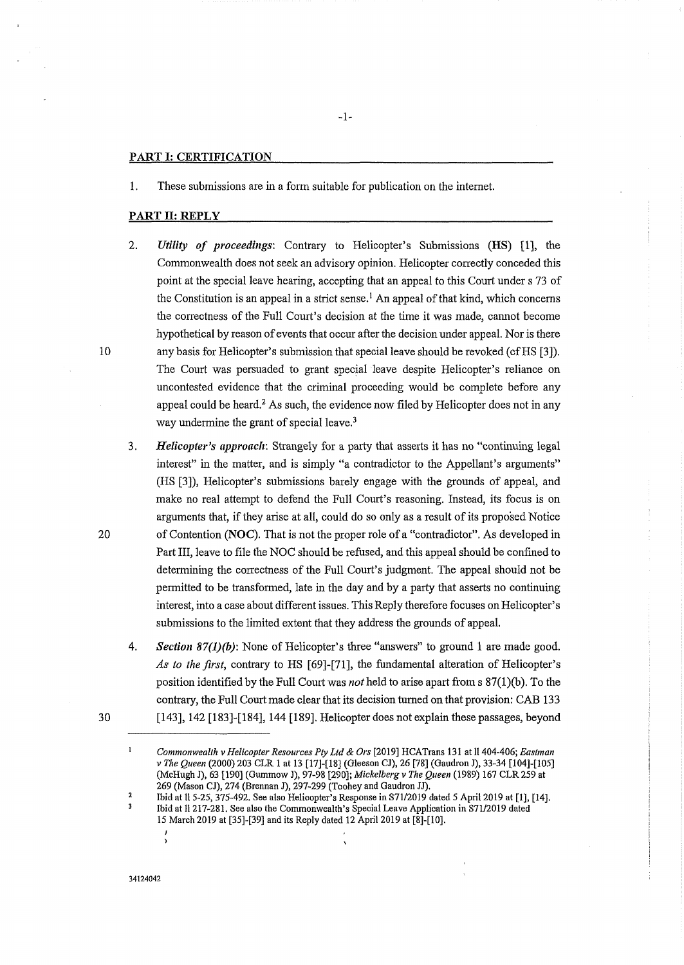#### PART I: **CERTIFICATION**

1. These submissions are in a form suitable for publication on the internet.

#### PART II: **REPLY**

- 2. *Utility of proceedings:* Contrary to Helicopter's Submissions **(HS)** [l), the Commonwealth does not seek an advisory opinion. Helicopter correctly conceded this point at the special leave hearing, accepting that an appeal to this Court under s 73 of the Constitution is an appeal in a strict sense.<sup>1</sup> An appeal of that kind, which concerns the correctness of the Full Court's decision at the time it was made, cannot become hypothetical by reason of events that occur after the decision under appeal. Nor is there 10 any basis for Helicopter's submission that special leave should be revoked (cfHS [3]). The Court was persuaded to grant special leave despite Helicopter's reliance on uncontested evidence that the criminal proceeding would be complete before any appeal could be heard.<sup>2</sup> As such, the evidence now filed by Helicopter does not in any way undermine the grant of special leave.<sup>3</sup>
- 3. *Helicopter's approach:* Strangely for a party that asserts it has no "continuing legal interest" in the matter, and is simply "a contradictor to the Appellant's arguments" (HS [3]), Helicopter's submissions barely engage with the grounds of appeal, and make no real attempt to defend the Full Court's reasoning. Instead, its focus is on arguments that, if they arise at all, could do so only as a result of its proposed Notice 20 of Contention **(NOC).** That is not the proper role of a "contradictor". As developed in Part III, leave to file the NOC should be refused, and this appeal should be confined to determining the correctness of the Full Court's judgment. The appeal should not be permitted to be transformed, late in the day and by a party that asserts no continuing interest, into a case about different issues. This Reply therefore focuses on Helicopter's submissions to the limited extent that they address the grounds of appeal.
	- 4. *Section 87(l)(b):* None of Helicopter's three "answers" to ground 1 are made good. *As to the first,* contrary to HS [69]-(71], the fundamental alteration of Helicopter's position identified by the Full Court was *not* held to arise apart from s 87(1)(b). To the contrary, the Full Court made clear that its decision turned on that provision: CAB 133 [143], 142 [183]-(184], 144 [189]. Helicopter does not explain these passages, beyond

30

 $\mathbf{1}$ *Commonwealth v Helicopter Resources Pty Ltd & Ors* [2019] HCATrans 131 at 11404-406; *Eastman v The Queen* (2000) 203 CLR 1 at 13 [17]-[18] (Gleeson CJ), 26 [78] (Gaudron J), 33-34 [104]-[105] (McHugh J), 63 [190] (Gurnmow J), 97-98 [290]; *Mickelberg v The Queen* (1989) 167 CLR 259 at 269 (Mason CJ), 274 (Brennan J), 297-299 (Toohey and Gaudron JJ).

 $\overline{\mathbf{c}}$ Ibid at 115-25, 375-492. See also Helicopter's Response in S71/2019 dated 5 April 2019 at [1], [14]. Ibid at 11217-281. See also the Commonwealth's Special Leave Application in S71/2019 dated 15 March 2019 at [35]-[39] and its Reply dated 12 April 2019 at [8]-[10].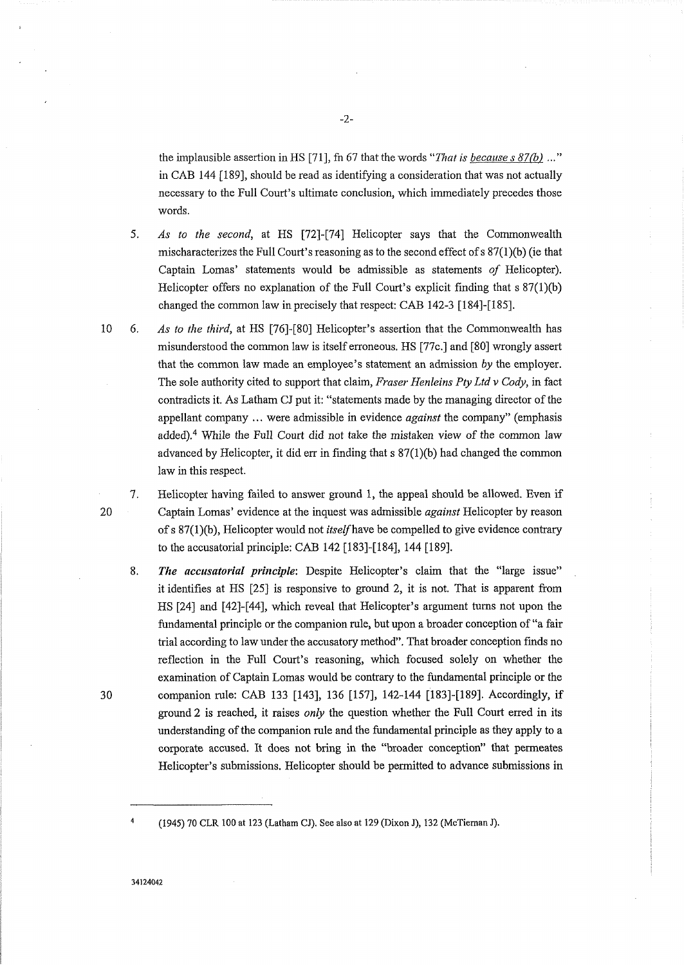the implausible assertion in HS [71 ], fn 67 that the words *"That is because s 87* (b) ... " in CAB 144 [189], should be read as identifying a consideration that was not actually necessary to the Full Court's ultimate conclusion, which immediately precedes those words.

- 5. *As to the second,* at HS [72]-[74] Helicopter says that the Commonwealth mischaracterizes the Full Court's reasoning as to the second effect of s 87(1 )(b) (ie that Captain Lomas' statements would be admissible as statements *of* Helicopter). Helicopter offers no explanation of the Full Court's explicit finding that  $s \frac{87(1)}{b}$ changed the common law in precisely that respect: CAB 142-3 [184]-[185].
- 10 6. *As to the third,* at HS [76]-[80] Helicopter's assertion that the Commonwealth has misunderstood the common law is itself erroneous. HS [77c.] and [80] wrongly assert that the common law made an employee's statement an admission *by* the employer. The sole authority cited to support that claim, *Fraser Henleins Pty Ltd v Cody,* in fact contradicts it. As Latham CJ put it: "statements made by the managing director of the appellant company ... were admissible in evidence *against* the company" (emphasis added).4 While the Full Court did not take the mistaken view of the common law advanced by Helicopter, it did err in finding that  $s$  87(1)(b) had changed the common law in this respect.
	- 7. Helicopter having failed to answer ground 1, the appeal should be allowed. Even if Captain Lomas' evidence at the inquest was admissible *against* Helicopter by reason ofs 87(l)(b), Helicopter would not *itselfhave* be compelled to give evidence contrary to the accusatorial principle: CAB 142 [183]-[184], 144 [189].
- 8. *The accusatorial principle:* Despite Helicopter's claim that the "large issue" it identifies at HS [25] is responsive to ground 2, it is not. That is apparent from HS [24] and [42]-[44], which reveal that Helicopter's argument turns not upon the fundamental principle or the companion rule, but upon a broader conception of "a fair trial according to law under the accusatory method". That broader conception finds no reflection in the Full Court's reasoning, which focused solely on whether the examination of Captain Lomas would be contrary to the fundamental principle or the 30 companion rule: CAB 133 [143], 136 [157], 142-144 [183]-[189]. Accordingly, if ground 2 is reached, it raises *only* the question whether the Full Court erred in its understanding of the companion rule and the fundamental principle as they apply to a corporate accused. It does not bring in the "broader conception" that permeates Helicopter's submissions. Helicopter should be permitted to advance submissions in

20

<sup>(1945) 70</sup> CLR 100 at 123 (Latham CJ). See also at 129 (Dixon J), 132 (McTieman J).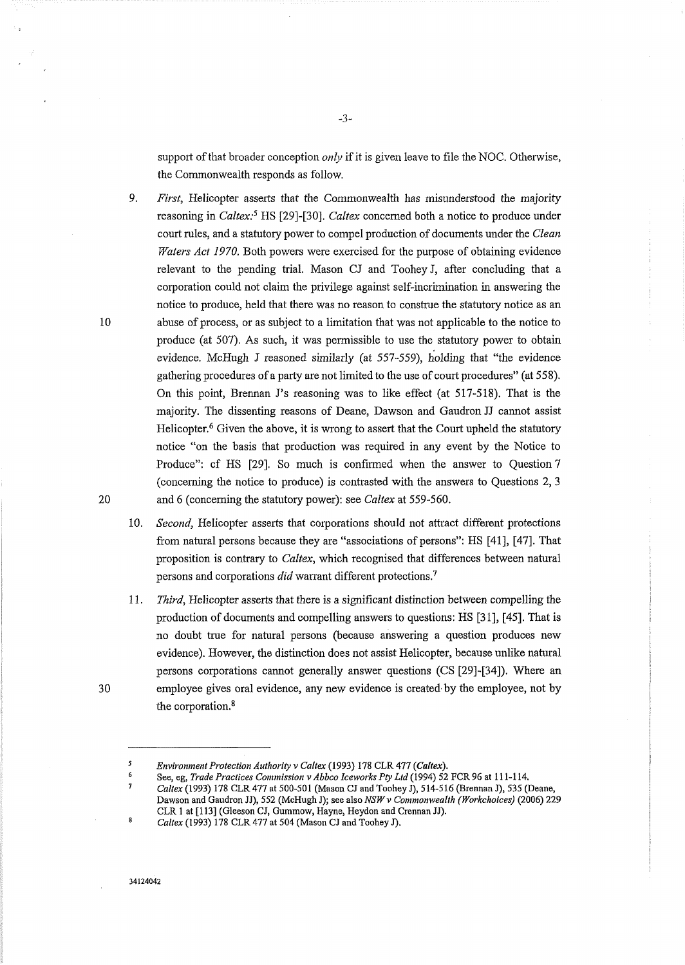suppott of that broader conception *only* if it is given leave to file the NOC. Otherwise, the Commonwealth responds as follow.

9. *First,* Helicopter asserts that the Commonwealth has misunderstood the majority reasoning in *Caltex:5* HS [29]-[30]. *Caltex* concerned both a notice to produce under court rules, and a statutory power to compel production of documents under the *Clean Waters Act 1970.* Both powers were exercised for the purpose of obtaining evidence relevant to the pending trial. Mason CJ and Toohey J, after concluding that a corporation could not claim the privilege against self-incrimination in answering the notice to produce, held that there was no reason to construe the statutory notice as an 10 abuse of process, or as subject to a limitation that was not applicable to the notice to produce (at 507). As such, it was permissible to use the statutory power to obtain evidence. McHugh J reasoned similarly (at 557-559), holding that "the evidence gathering procedures of a party are not limited to the use of court procedures" (at 558). On this point, Brennan J's reasoning was to like effect (at 517-518). That is the majority. The dissenting reasons of Deane, Dawson and Gaudron JJ cannot assist Helicopter.6 Given the above, it is wrong to assert that the Court upheld the statutory notice "on the basis that production was required in any event by the Notice to Produce": cf HS [29]. So much is confirmed when the answer to Question 7 ( concerning the notice to produce) is contrasted with the answers to Questions 2, 3 20 and 6 (concerning the statutory power): see *Caltex* at 559-560.

- 10. *Second,* Helicopter asserts that corporations should not attract different protections from natural persons because they are "associations of persons": HS [41], [47]. That proposition is contrary to *Caltex,* which recognised that differences between natural persons and corporations *did* warrant different protections.<sup>7</sup>
- 11. *Third,* Helicopter asserts that there is a significant distinction between compelling the production of documents and compelling answers to questions: HS [31], [45]. That is no doubt true for natural persons (because answering a question produces new evidence). However, the distinction does not assist Helicopter, because unlike natural persons corporations cannot generally answer questions (CS [29]-[34]). Where an 30 employee gives oral evidence, any new evidence is created by the employee, not by the corporation.<sup>8</sup>

*Environment Protection Authority v Caltex* (1993) 178 CLR 477 *(Caltex).* 

See, eg, *Trade Practices Commission v Abbco lceworks Pty Ltd* (1994) 52 FCR 96 at 111-114. *Caltex* (1993) 178 CLR 477 at 500-501 (Mason CJ and Toohey J), 514-516 (Brennan J), 535 (Deane, Dawson and Gaudron JJ), 552 (McHugh J); see also *NSW v Commonwealth (Workchoices)* (2006) 229 CLR 1 at [113] (Gleeson CJ, Gummow, Hayne, Reydon and Crennan JJ).

 $\mathbf{a}$ *Caltex* (1993) 178 CLR 477 at 504 (Mason CJ and Toohey J).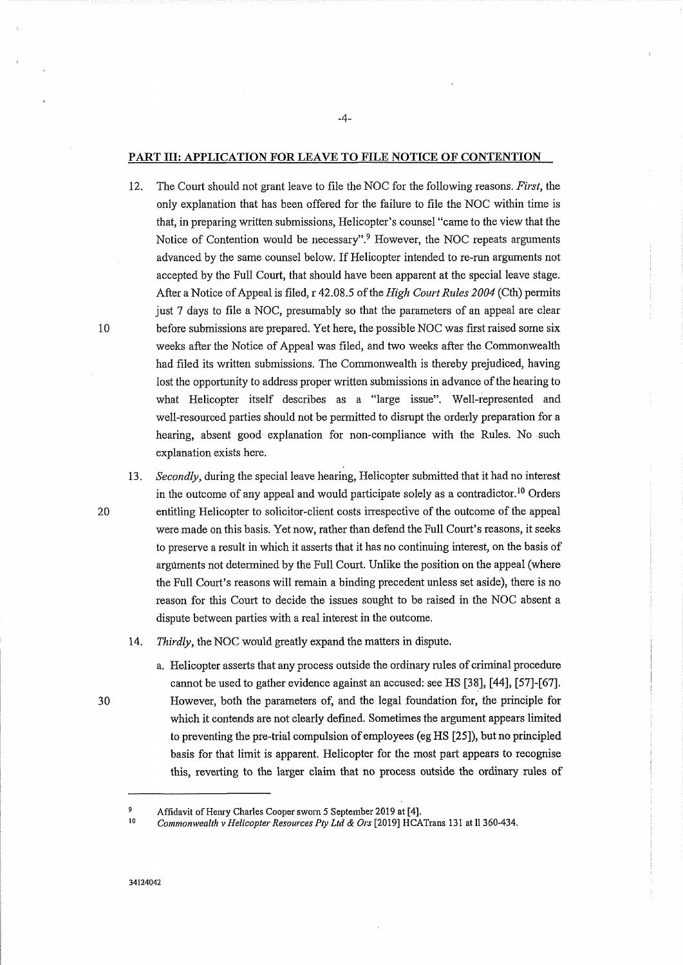#### PART III: APPLICATION FOR LEAVE TO FILE NOTICE OF CONTENTION

-4-

12. The Court should not grant leave to file the NOC for the following reasons. *First,* the only explanation that has been offered for the failure to file the NOC within time is that, in preparing written submissions, Helicopter's counsel "came to the view that the Notice of Contention would be necessary".9 However, the NOC repeats arguments advanced by the same counsel below. If Helicopter intended to re-run arguments not accepted by the Full Court, that should have been apparent at the special leave stage. After a Notice of Appeal is filed, r 42.08.5 of the *High Court Rules 2004* (Cth) permits just 7 days to file a NOC, presumably so that the parameters of an appeal are clear 10 before submissions are prepared. Yet here, the possible NOC was first raised some six weeks after the Notice of Appeal was filed, and two weeks after the Commonwealth had filed its written submissions. The Commonwealth is thereby prejudiced, having lost the opportunity to address proper written submissions in advance of the hearing to what Helicopter itself describes as a "large issue". Well-represented and well-resourced parties should not be permitted to disrupt the orderly preparation for a hearing, absent good explanation for non-compliance with the Rules. No such explanation exists here.

13. *Secondly,* during the special leave hearing, Helicopter submitted that it had no interest in the outcome of any appeal and would participate solely as a contradictor. 10 Orders 20 entitling Helicopter to solicitor-client costs irrespective of the outcome of the appeal were made on this basis. Yet now, rather than defend the Full Court's reasons, it seeks to preserve a result in which it asserts that it has no continuing interest, on the basis of arguments not determined by the Full Court. Unlike the position on the appeal (where the Full Court's reasons will remain a binding precedent unless set aside), there is no reason for this Court to decide the issues sought to be raised in the NOC absent a dispute between parties with a real interest in the outcome.

- 14. *Thirdly,* the NOC would greatly expand the matters in dispute.
	- a. Helicopter asserts that any process outside the ordinary rules of criminal procedure cannot be used to gather evidence against an accused: see HS [38], [44], [57]-[67]. However, both the parameters of, and the legal foundation for, the principle for which it contends are not clearly defined. Sometimes the argument appears limited to preventing the pre-trial compulsion of employees (eg HS [25]), but no principled basis for that limit is apparent. Helicopter for the most part appears to recognise this, reverting to the larger claim that no process outside the ordinary rules of

<sup>9</sup>  Affidavit of Henry Charles Cooper sworn 5 September 2019 at [4].

<sup>10</sup>  *Commonwealth v Helicopter Resources Pty Ltd & Ors* [2019] HCATrans 131 at 11360-434.